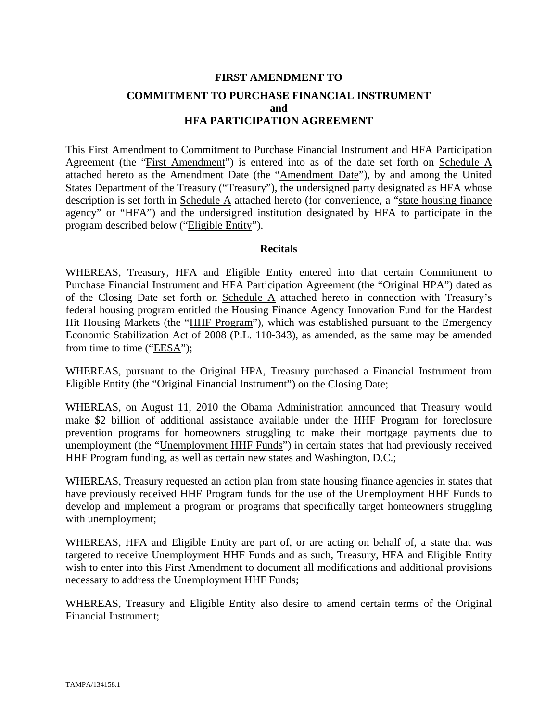# **FIRST AMENDMENT TO COMMITMENT TO PURCHASE FINANCIAL INSTRUMENT and HFA PARTICIPATION AGREEMENT**

This First Amendment to Commitment to Purchase Financial Instrument and HFA Participation Agreement (the "First Amendment") is entered into as of the date set forth on Schedule A attached hereto as the Amendment Date (the "Amendment Date"), by and among the United States Department of the Treasury ("Treasury"), the undersigned party designated as HFA whose description is set forth in Schedule A attached hereto (for convenience, a "state housing finance agency" or "HFA") and the undersigned institution designated by HFA to participate in the program described below ("Eligible Entity").

#### **Recitals**

WHEREAS, Treasury, HFA and Eligible Entity entered into that certain Commitment to Purchase Financial Instrument and HFA Participation Agreement (the "Original HPA") dated as of the Closing Date set forth on Schedule A attached hereto in connection with Treasury's federal housing program entitled the Housing Finance Agency Innovation Fund for the Hardest Hit Housing Markets (the "HHF Program"), which was established pursuant to the Emergency Economic Stabilization Act of 2008 (P.L. 110-343), as amended, as the same may be amended from time to time ("EESA");

WHEREAS, pursuant to the Original HPA, Treasury purchased a Financial Instrument from Eligible Entity (the "Original Financial Instrument") on the Closing Date;

WHEREAS, on August 11, 2010 the Obama Administration announced that Treasury would make \$2 billion of additional assistance available under the HHF Program for foreclosure prevention programs for homeowners struggling to make their mortgage payments due to unemployment (the "Unemployment HHF Funds") in certain states that had previously received HHF Program funding, as well as certain new states and Washington, D.C.;

WHEREAS, Treasury requested an action plan from state housing finance agencies in states that have previously received HHF Program funds for the use of the Unemployment HHF Funds to develop and implement a program or programs that specifically target homeowners struggling with unemployment;

WHEREAS, HFA and Eligible Entity are part of, or are acting on behalf of, a state that was targeted to receive Unemployment HHF Funds and as such, Treasury, HFA and Eligible Entity wish to enter into this First Amendment to document all modifications and additional provisions necessary to address the Unemployment HHF Funds;

WHEREAS, Treasury and Eligible Entity also desire to amend certain terms of the Original Financial Instrument;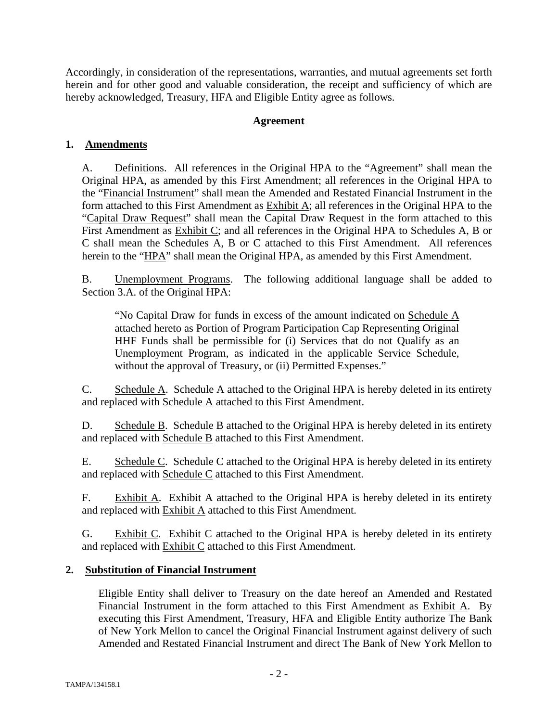Accordingly, in consideration of the representations, warranties, and mutual agreements set forth herein and for other good and valuable consideration, the receipt and sufficiency of which are hereby acknowledged, Treasury, HFA and Eligible Entity agree as follows.

# **Agreement**

# **1. Amendments**

A. Definitions. All references in the Original HPA to the "Agreement" shall mean the Original HPA, as amended by this First Amendment; all references in the Original HPA to the "Financial Instrument" shall mean the Amended and Restated Financial Instrument in the form attached to this First Amendment as Exhibit A; all references in the Original HPA to the "Capital Draw Request" shall mean the Capital Draw Request in the form attached to this First Amendment as Exhibit C; and all references in the Original HPA to Schedules A, B or C shall mean the Schedules A, B or C attached to this First Amendment. All references herein to the "HPA" shall mean the Original HPA, as amended by this First Amendment.

B. Unemployment Programs. The following additional language shall be added to Section 3.A. of the Original HPA:

"No Capital Draw for funds in excess of the amount indicated on Schedule A attached hereto as Portion of Program Participation Cap Representing Original HHF Funds shall be permissible for (i) Services that do not Qualify as an Unemployment Program, as indicated in the applicable Service Schedule, without the approval of Treasury, or (ii) Permitted Expenses."

C. Schedule A. Schedule A attached to the Original HPA is hereby deleted in its entirety and replaced with Schedule A attached to this First Amendment.

D. Schedule B. Schedule B attached to the Original HPA is hereby deleted in its entirety and replaced with Schedule B attached to this First Amendment.

E. Schedule C. Schedule C attached to the Original HPA is hereby deleted in its entirety and replaced with Schedule C attached to this First Amendment.

F. Exhibit A. Exhibit A attached to the Original HPA is hereby deleted in its entirety and replaced with **Exhibit A** attached to this First Amendment.

G. Exhibit C. Exhibit C attached to the Original HPA is hereby deleted in its entirety and replaced with Exhibit C attached to this First Amendment.

# **2. Substitution of Financial Instrument**

Eligible Entity shall deliver to Treasury on the date hereof an Amended and Restated Financial Instrument in the form attached to this First Amendment as Exhibit A. By executing this First Amendment, Treasury, HFA and Eligible Entity authorize The Bank of New York Mellon to cancel the Original Financial Instrument against delivery of such Amended and Restated Financial Instrument and direct The Bank of New York Mellon to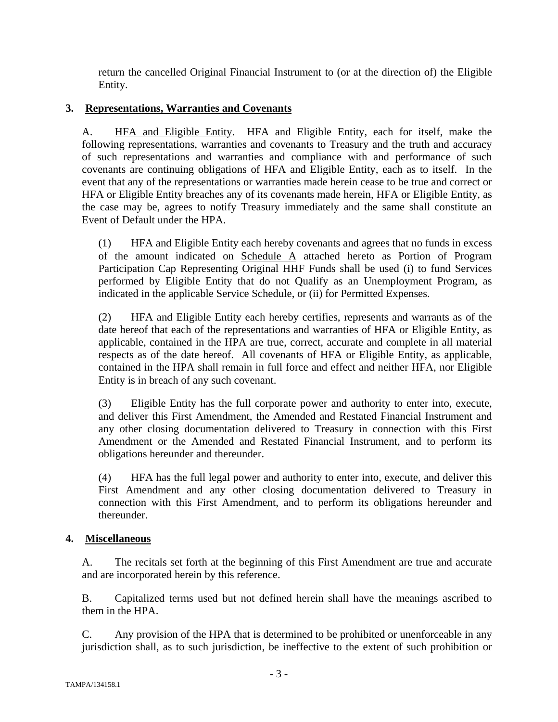return the cancelled Original Financial Instrument to (or at the direction of) the Eligible Entity.

# **3. Representations, Warranties and Covenants**

A. HFA and Eligible Entity. HFA and Eligible Entity, each for itself, make the following representations, warranties and covenants to Treasury and the truth and accuracy of such representations and warranties and compliance with and performance of such covenants are continuing obligations of HFA and Eligible Entity, each as to itself. In the event that any of the representations or warranties made herein cease to be true and correct or HFA or Eligible Entity breaches any of its covenants made herein, HFA or Eligible Entity, as the case may be, agrees to notify Treasury immediately and the same shall constitute an Event of Default under the HPA.

(1) HFA and Eligible Entity each hereby covenants and agrees that no funds in excess of the amount indicated on Schedule A attached hereto as Portion of Program Participation Cap Representing Original HHF Funds shall be used (i) to fund Services performed by Eligible Entity that do not Qualify as an Unemployment Program, as indicated in the applicable Service Schedule, or (ii) for Permitted Expenses.

(2) HFA and Eligible Entity each hereby certifies, represents and warrants as of the date hereof that each of the representations and warranties of HFA or Eligible Entity, as applicable, contained in the HPA are true, correct, accurate and complete in all material respects as of the date hereof. All covenants of HFA or Eligible Entity, as applicable, contained in the HPA shall remain in full force and effect and neither HFA, nor Eligible Entity is in breach of any such covenant.

(3) Eligible Entity has the full corporate power and authority to enter into, execute, and deliver this First Amendment, the Amended and Restated Financial Instrument and any other closing documentation delivered to Treasury in connection with this First Amendment or the Amended and Restated Financial Instrument, and to perform its obligations hereunder and thereunder.

(4) HFA has the full legal power and authority to enter into, execute, and deliver this First Amendment and any other closing documentation delivered to Treasury in connection with this First Amendment, and to perform its obligations hereunder and thereunder.

# **4. Miscellaneous**

A. The recitals set forth at the beginning of this First Amendment are true and accurate and are incorporated herein by this reference.

B. Capitalized terms used but not defined herein shall have the meanings ascribed to them in the HPA.

C. Any provision of the HPA that is determined to be prohibited or unenforceable in any jurisdiction shall, as to such jurisdiction, be ineffective to the extent of such prohibition or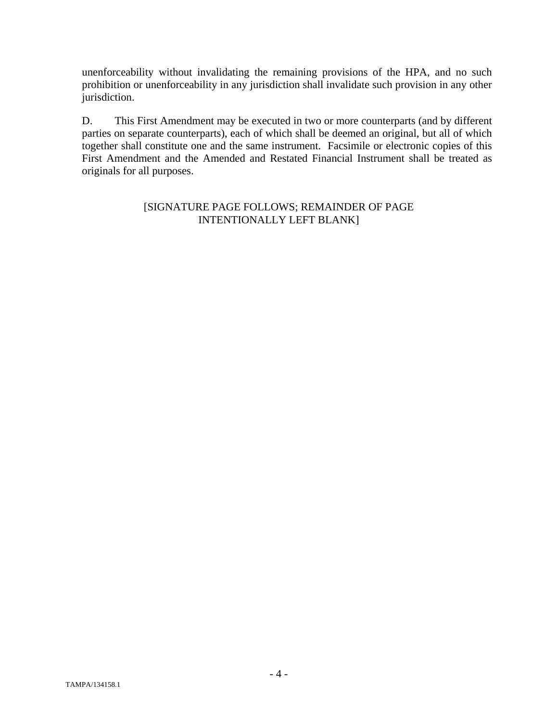unenforceability without invalidating the remaining provisions of the HPA, and no such prohibition or unenforceability in any jurisdiction shall invalidate such provision in any other jurisdiction.

D. This First Amendment may be executed in two or more counterparts (and by different parties on separate counterparts), each of which shall be deemed an original, but all of which together shall constitute one and the same instrument. Facsimile or electronic copies of this First Amendment and the Amended and Restated Financial Instrument shall be treated as originals for all purposes.

# [SIGNATURE PAGE FOLLOWS; REMAINDER OF PAGE INTENTIONALLY LEFT BLANK]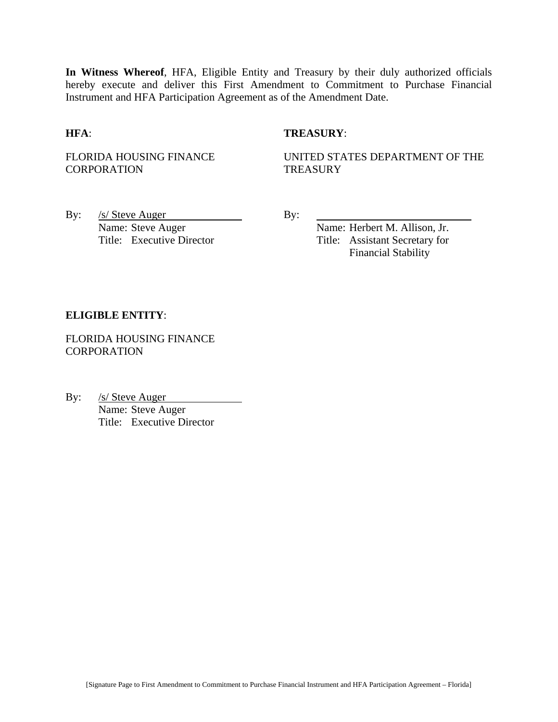**In Witness Whereof**, HFA, Eligible Entity and Treasury by their duly authorized officials hereby execute and deliver this First Amendment to Commitment to Purchase Financial Instrument and HFA Participation Agreement as of the Amendment Date.

#### **HFA**: **TREASURY**:

FLORIDA HOUSING FINANCE **CORPORATION** 

UNITED STATES DEPARTMENT OF THE **TREASURY** 

By: <u>/s/ Steve Auger</u> By: Name: Steve Auger Name: Herbert M. Allison, Jr.

Title: Executive Director Title: Assistant Secretary for Financial Stability

#### **ELIGIBLE ENTITY**:

FLORIDA HOUSING FINANCE **CORPORATION** 

By: /s/ Steve Auger Name: Steve Auger Title: Executive Director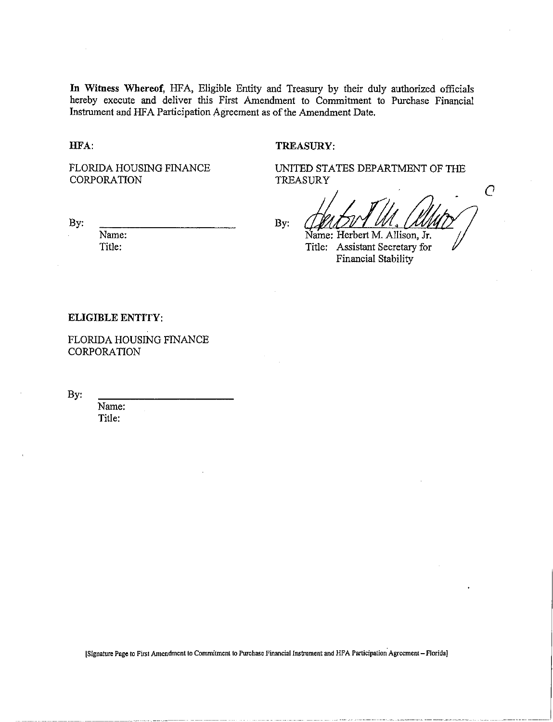In Witness Whereof, HFA, Eligible Entity and Treasury by their duly authorized officials hereby execute and deliver this First Amendment to Commitment to Purchase Financial Instrument and HFA Participation Agreement as of the Amendment Date.

HFA:

#### **TREASURY:**

FLORIDA HOUSING FINANCE CORPORATION

UNITED STATES DEPARTMENT OF THE TREASURY

By:

Name: Title:

By:

Name: Herbert M. Allison, Jr.

 $\overline{C}$ 

Title: Assistant Secretary for Financial Stability

#### **ELIGIBLE ENTITY:**

FLORIDA HOUSING FINANCE CORPORATION

By:

Name: Title:

[Signature Page to First Amendment to Commitment to Purchase Financial Instrument and HFA Participation Agreement - Florida]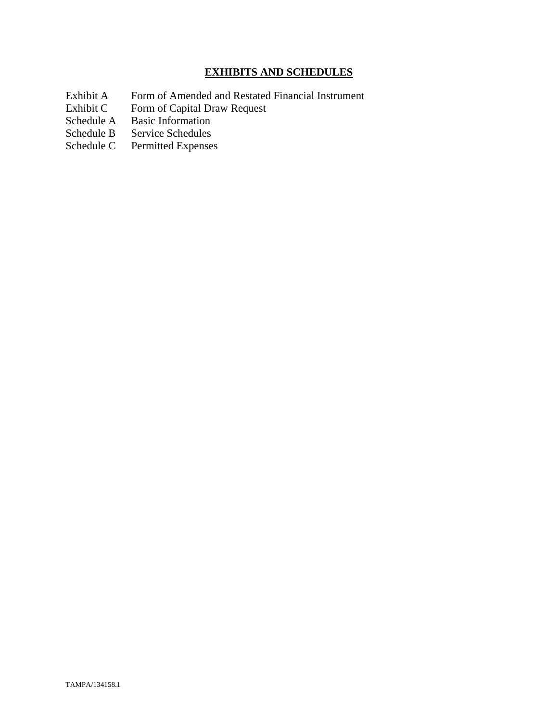# **EXHIBITS AND SCHEDULES**

- Exhibit A Form of Amended and Restated Financial Instrument<br>Exhibit C Form of Capital Draw Request
- Exhibit C Form of Capital Draw Request<br>Schedule A Basic Information
- Schedule A Basic Information<br>Schedule B Service Schedules
- Service Schedules
- Schedule C Permitted Expenses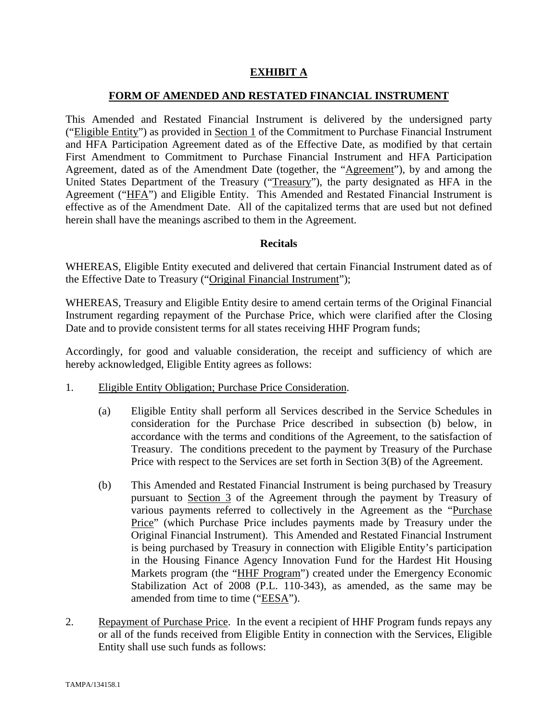# **EXHIBIT A**

### **FORM OF AMENDED AND RESTATED FINANCIAL INSTRUMENT**

This Amended and Restated Financial Instrument is delivered by the undersigned party ("Eligible Entity") as provided in Section 1 of the Commitment to Purchase Financial Instrument and HFA Participation Agreement dated as of the Effective Date, as modified by that certain First Amendment to Commitment to Purchase Financial Instrument and HFA Participation Agreement, dated as of the Amendment Date (together, the "Agreement"), by and among the United States Department of the Treasury ("Treasury"), the party designated as HFA in the Agreement ("HFA") and Eligible Entity. This Amended and Restated Financial Instrument is effective as of the Amendment Date. All of the capitalized terms that are used but not defined herein shall have the meanings ascribed to them in the Agreement.

#### **Recitals**

WHEREAS, Eligible Entity executed and delivered that certain Financial Instrument dated as of the Effective Date to Treasury ("Original Financial Instrument");

WHEREAS, Treasury and Eligible Entity desire to amend certain terms of the Original Financial Instrument regarding repayment of the Purchase Price, which were clarified after the Closing Date and to provide consistent terms for all states receiving HHF Program funds;

Accordingly, for good and valuable consideration, the receipt and sufficiency of which are hereby acknowledged, Eligible Entity agrees as follows:

- 1. Eligible Entity Obligation; Purchase Price Consideration.
	- (a) Eligible Entity shall perform all Services described in the Service Schedules in consideration for the Purchase Price described in subsection (b) below, in accordance with the terms and conditions of the Agreement, to the satisfaction of Treasury. The conditions precedent to the payment by Treasury of the Purchase Price with respect to the Services are set forth in Section 3(B) of the Agreement.
	- (b) This Amended and Restated Financial Instrument is being purchased by Treasury pursuant to Section 3 of the Agreement through the payment by Treasury of various payments referred to collectively in the Agreement as the "Purchase Price" (which Purchase Price includes payments made by Treasury under the Original Financial Instrument). This Amended and Restated Financial Instrument is being purchased by Treasury in connection with Eligible Entity's participation in the Housing Finance Agency Innovation Fund for the Hardest Hit Housing Markets program (the "HHF Program") created under the Emergency Economic Stabilization Act of 2008 (P.L. 110-343), as amended, as the same may be amended from time to time ("EESA").
- 2. Repayment of Purchase Price. In the event a recipient of HHF Program funds repays any or all of the funds received from Eligible Entity in connection with the Services, Eligible Entity shall use such funds as follows: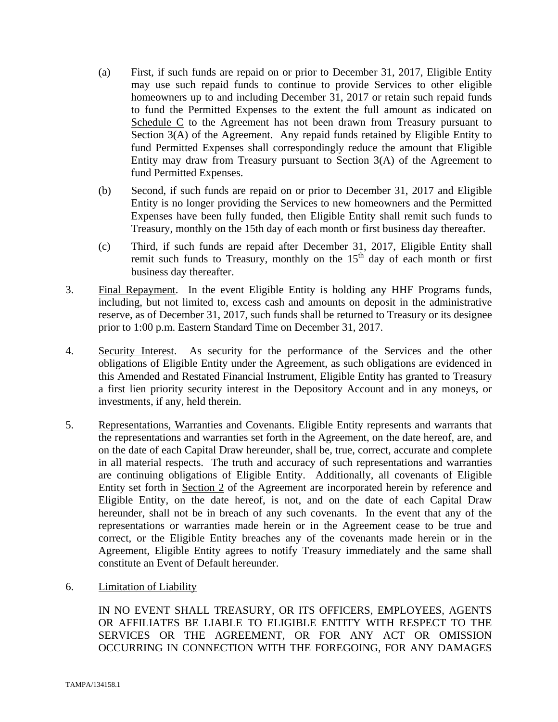- (a) First, if such funds are repaid on or prior to December 31, 2017, Eligible Entity may use such repaid funds to continue to provide Services to other eligible homeowners up to and including December 31, 2017 or retain such repaid funds to fund the Permitted Expenses to the extent the full amount as indicated on Schedule C to the Agreement has not been drawn from Treasury pursuant to Section 3(A) of the Agreement. Any repaid funds retained by Eligible Entity to fund Permitted Expenses shall correspondingly reduce the amount that Eligible Entity may draw from Treasury pursuant to Section 3(A) of the Agreement to fund Permitted Expenses.
- (b) Second, if such funds are repaid on or prior to December 31, 2017 and Eligible Entity is no longer providing the Services to new homeowners and the Permitted Expenses have been fully funded, then Eligible Entity shall remit such funds to Treasury, monthly on the 15th day of each month or first business day thereafter.
- (c) Third, if such funds are repaid after December 31, 2017, Eligible Entity shall remit such funds to Treasury, monthly on the  $15<sup>th</sup>$  day of each month or first business day thereafter.
- 3. Final Repayment. In the event Eligible Entity is holding any HHF Programs funds, including, but not limited to, excess cash and amounts on deposit in the administrative reserve, as of December 31, 2017, such funds shall be returned to Treasury or its designee prior to 1:00 p.m. Eastern Standard Time on December 31, 2017.
- 4. Security Interest. As security for the performance of the Services and the other obligations of Eligible Entity under the Agreement, as such obligations are evidenced in this Amended and Restated Financial Instrument, Eligible Entity has granted to Treasury a first lien priority security interest in the Depository Account and in any moneys, or investments, if any, held therein.
- 5. Representations, Warranties and Covenants. Eligible Entity represents and warrants that the representations and warranties set forth in the Agreement, on the date hereof, are, and on the date of each Capital Draw hereunder, shall be, true, correct, accurate and complete in all material respects. The truth and accuracy of such representations and warranties are continuing obligations of Eligible Entity. Additionally, all covenants of Eligible Entity set forth in Section 2 of the Agreement are incorporated herein by reference and Eligible Entity, on the date hereof, is not, and on the date of each Capital Draw hereunder, shall not be in breach of any such covenants. In the event that any of the representations or warranties made herein or in the Agreement cease to be true and correct, or the Eligible Entity breaches any of the covenants made herein or in the Agreement, Eligible Entity agrees to notify Treasury immediately and the same shall constitute an Event of Default hereunder.
- 6. Limitation of Liability

IN NO EVENT SHALL TREASURY, OR ITS OFFICERS, EMPLOYEES, AGENTS OR AFFILIATES BE LIABLE TO ELIGIBLE ENTITY WITH RESPECT TO THE SERVICES OR THE AGREEMENT, OR FOR ANY ACT OR OMISSION OCCURRING IN CONNECTION WITH THE FOREGOING, FOR ANY DAMAGES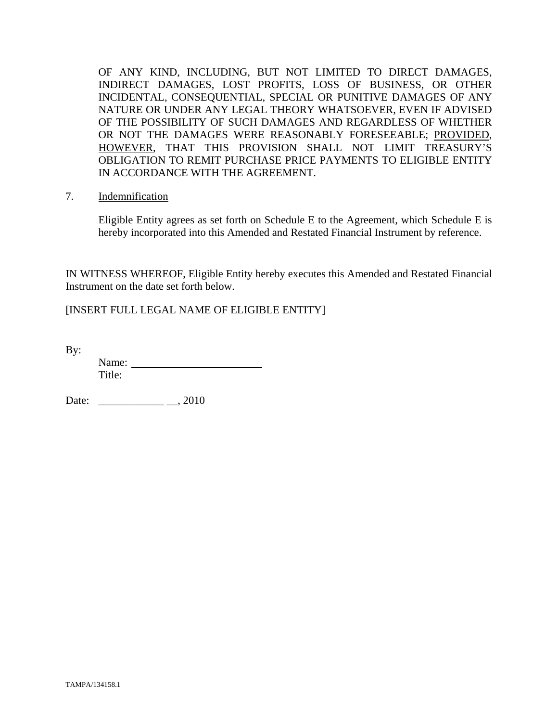OF ANY KIND, INCLUDING, BUT NOT LIMITED TO DIRECT DAMAGES, INDIRECT DAMAGES, LOST PROFITS, LOSS OF BUSINESS, OR OTHER INCIDENTAL, CONSEQUENTIAL, SPECIAL OR PUNITIVE DAMAGES OF ANY NATURE OR UNDER ANY LEGAL THEORY WHATSOEVER, EVEN IF ADVISED OF THE POSSIBILITY OF SUCH DAMAGES AND REGARDLESS OF WHETHER OR NOT THE DAMAGES WERE REASONABLY FORESEEABLE; PROVIDED, HOWEVER, THAT THIS PROVISION SHALL NOT LIMIT TREASURY'S OBLIGATION TO REMIT PURCHASE PRICE PAYMENTS TO ELIGIBLE ENTITY IN ACCORDANCE WITH THE AGREEMENT.

7. Indemnification

Eligible Entity agrees as set forth on Schedule E to the Agreement, which Schedule E is hereby incorporated into this Amended and Restated Financial Instrument by reference.

IN WITNESS WHEREOF, Eligible Entity hereby executes this Amended and Restated Financial Instrument on the date set forth below.

[INSERT FULL LEGAL NAME OF ELIGIBLE ENTITY]

By: Name: Title:

Date: \_\_\_\_\_\_\_\_\_\_\_\_ \_\_, 2010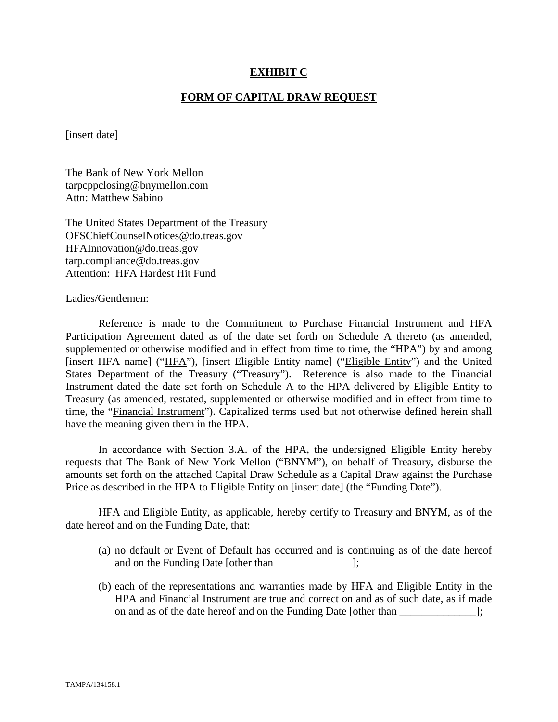### **EXHIBIT C**

#### **FORM OF CAPITAL DRAW REQUEST**

[insert date]

The Bank of New York Mellon tarpcppclosing@bnymellon.com Attn: Matthew Sabino

The United States Department of the Treasury OFSChiefCounselNotices@do.treas.gov HFAInnovation@do.treas.gov tarp.compliance@do.treas.gov Attention: HFA Hardest Hit Fund

Ladies/Gentlemen:

 Reference is made to the Commitment to Purchase Financial Instrument and HFA Participation Agreement dated as of the date set forth on Schedule A thereto (as amended, supplemented or otherwise modified and in effect from time to time, the "HPA") by and among [insert HFA name] ("HFA"), [insert Eligible Entity name] ("Eligible Entity") and the United States Department of the Treasury ("Treasury"). Reference is also made to the Financial Instrument dated the date set forth on Schedule A to the HPA delivered by Eligible Entity to Treasury (as amended, restated, supplemented or otherwise modified and in effect from time to time, the "Financial Instrument"). Capitalized terms used but not otherwise defined herein shall have the meaning given them in the HPA.

 In accordance with Section 3.A. of the HPA, the undersigned Eligible Entity hereby requests that The Bank of New York Mellon ("BNYM"), on behalf of Treasury, disburse the amounts set forth on the attached Capital Draw Schedule as a Capital Draw against the Purchase Price as described in the HPA to Eligible Entity on [insert date] (the "Funding Date").

 HFA and Eligible Entity, as applicable, hereby certify to Treasury and BNYM, as of the date hereof and on the Funding Date, that:

- (a) no default or Event of Default has occurred and is continuing as of the date hereof and on the Funding Date [other than  $\cdot$ ];
- (b) each of the representations and warranties made by HFA and Eligible Entity in the HPA and Financial Instrument are true and correct on and as of such date, as if made on and as of the date hereof and on the Funding Date [other than \_\_\_\_\_\_\_\_\_\_\_\_\_\_];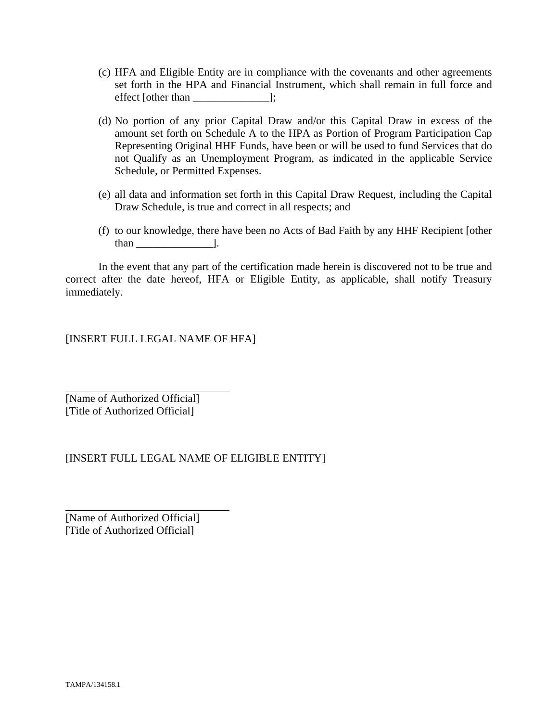- (c) HFA and Eligible Entity are in compliance with the covenants and other agreements set forth in the HPA and Financial Instrument, which shall remain in full force and effect [other than \_\_\_\_\_\_\_\_\_\_\_\_\_\_];
- (d) No portion of any prior Capital Draw and/or this Capital Draw in excess of the amount set forth on Schedule A to the HPA as Portion of Program Participation Cap Representing Original HHF Funds, have been or will be used to fund Services that do not Qualify as an Unemployment Program, as indicated in the applicable Service Schedule, or Permitted Expenses.
- (e) all data and information set forth in this Capital Draw Request, including the Capital Draw Schedule, is true and correct in all respects; and
- (f) to our knowledge, there have been no Acts of Bad Faith by any HHF Recipient [other than \_\_\_\_\_\_\_\_\_\_\_\_\_\_].

 In the event that any part of the certification made herein is discovered not to be true and correct after the date hereof, HFA or Eligible Entity, as applicable, shall notify Treasury immediately.

[INSERT FULL LEGAL NAME OF HFA]

[Name of Authorized Official] [Title of Authorized Official]

 $\overline{a}$ 

l

# [INSERT FULL LEGAL NAME OF ELIGIBLE ENTITY]

[Name of Authorized Official] [Title of Authorized Official]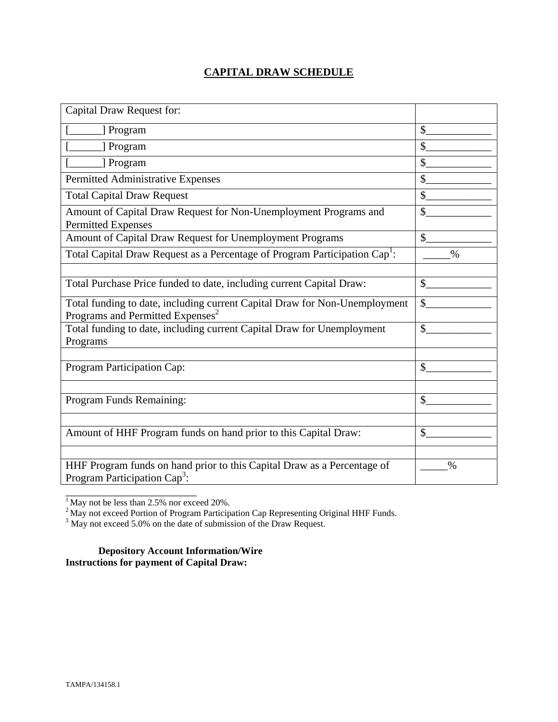# **CAPITAL DRAW SCHEDULE**

| Capital Draw Request for:                                                                                                  |               |
|----------------------------------------------------------------------------------------------------------------------------|---------------|
| [] Program                                                                                                                 | \$            |
| ] Program                                                                                                                  | $\mathcal{S}$ |
| [ Program                                                                                                                  | \$            |
| Permitted Administrative Expenses                                                                                          | \$            |
| <b>Total Capital Draw Request</b>                                                                                          | \$            |
| Amount of Capital Draw Request for Non-Unemployment Programs and<br><b>Permitted Expenses</b>                              | \$            |
| Amount of Capital Draw Request for Unemployment Programs                                                                   | $\mathcal{S}$ |
| Total Capital Draw Request as a Percentage of Program Participation Cap <sup>1</sup> :                                     | $\%$          |
|                                                                                                                            |               |
| Total Purchase Price funded to date, including current Capital Draw:                                                       | $\mathbb{S}$  |
| Total funding to date, including current Capital Draw for Non-Unemployment<br>Programs and Permitted Expenses <sup>2</sup> | \$            |
| Total funding to date, including current Capital Draw for Unemployment<br>Programs                                         | $\mathcal{S}$ |
|                                                                                                                            |               |
| Program Participation Cap:                                                                                                 | \$            |
|                                                                                                                            |               |
| Program Funds Remaining:                                                                                                   | \$            |
|                                                                                                                            |               |
| Amount of HHF Program funds on hand prior to this Capital Draw:                                                            | $\mathcal{S}$ |
|                                                                                                                            |               |
| HHF Program funds on hand prior to this Capital Draw as a Percentage of<br>Program Participation Cap <sup>3</sup> :        | $\%$          |

 $<sup>1</sup>$  May not be less than 2.5% nor exceed 20%.</sup>

\_\_\_\_\_\_\_\_\_\_\_\_\_\_\_\_\_\_\_\_\_\_\_\_

<sup>2</sup> May not exceed Portion of Program Participation Cap Representing Original HHF Funds.<br><sup>3</sup> May not exceed 5.0% on the date of submission of the Draw Request.

**Depository Account Information/Wire Instructions for payment of Capital Draw:**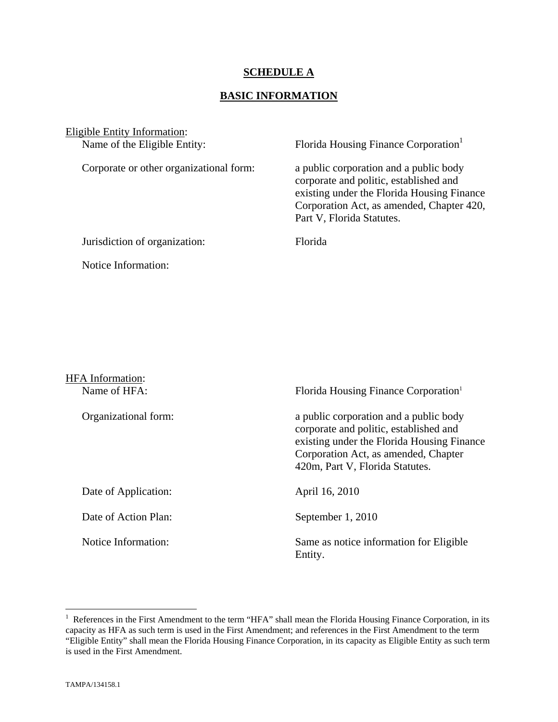## **SCHEDULE A**

## **BASIC INFORMATION**

Eligible Entity Information:

Corporate or other organizational form: a public corporation and a public body

Name of the Eligible Entity: Florida Housing Finance Corporation<sup>1</sup>

 corporate and politic, established and existing under the Florida Housing Finance Corporation Act, as amended, Chapter 420, Part V, Florida Statutes.

Jurisdiction of organization: Florida

Notice Information:

| <b>HFA</b> Information:<br>Name of HFA: | Florida Housing Finance Corporation <sup>1</sup>                                                                                                                                                          |
|-----------------------------------------|-----------------------------------------------------------------------------------------------------------------------------------------------------------------------------------------------------------|
| Organizational form:                    | a public corporation and a public body<br>corporate and politic, established and<br>existing under the Florida Housing Finance<br>Corporation Act, as amended, Chapter<br>420m, Part V, Florida Statutes. |
| Date of Application:                    | April 16, 2010                                                                                                                                                                                            |
| Date of Action Plan:                    | September 1, 2010                                                                                                                                                                                         |
| Notice Information:                     | Same as notice information for Eligible<br>Entity.                                                                                                                                                        |

The Terences in the First Amendment to the term "HFA" shall mean the Florida Housing Finance Corporation, in its capacity as HFA as such term is used in the First Amendment; and references in the First Amendment to the term "Eligible Entity" shall mean the Florida Housing Finance Corporation, in its capacity as Eligible Entity as such term is used in the First Amendment.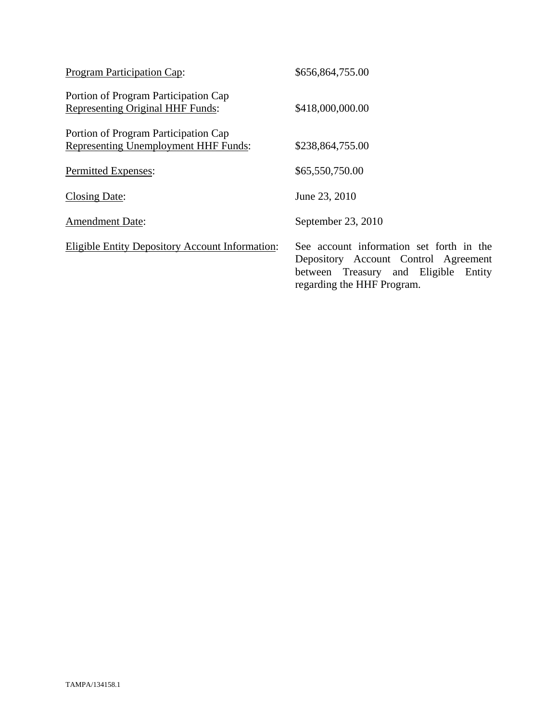| Program Participation Cap:                                                      | \$656,864,755.00                                                                                                                                          |
|---------------------------------------------------------------------------------|-----------------------------------------------------------------------------------------------------------------------------------------------------------|
| Portion of Program Participation Cap<br><b>Representing Original HHF Funds:</b> | \$418,000,000.00                                                                                                                                          |
| Portion of Program Participation Cap<br>Representing Unemployment HHF Funds:    | \$238,864,755.00                                                                                                                                          |
| Permitted Expenses:                                                             | \$65,550,750.00                                                                                                                                           |
| <b>Closing Date:</b>                                                            | June 23, 2010                                                                                                                                             |
| <b>Amendment Date:</b>                                                          | September 23, 2010                                                                                                                                        |
| <b>Eligible Entity Depository Account Information:</b>                          | See account information set forth in the<br>Depository Account Control Agreement<br>between Treasury and Eligible<br>Entity<br>regarding the HHF Program. |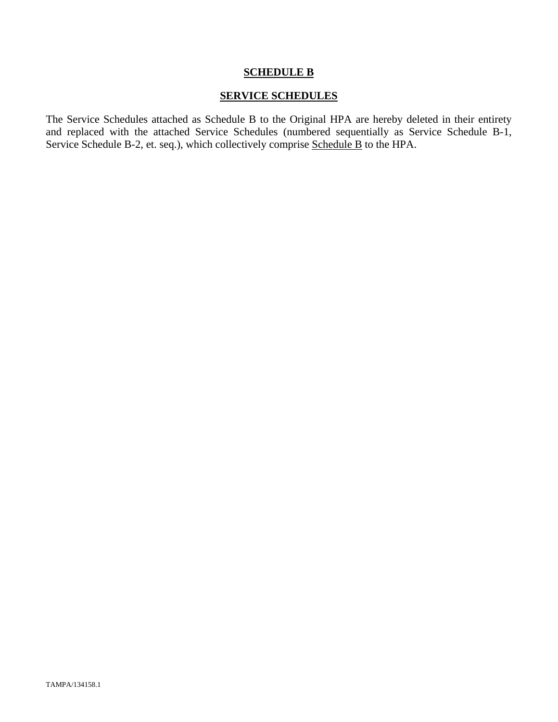### **SCHEDULE B**

## **SERVICE SCHEDULES**

The Service Schedules attached as Schedule B to the Original HPA are hereby deleted in their entirety and replaced with the attached Service Schedules (numbered sequentially as Service Schedule B-1, Service Schedule B-2, et. seq.), which collectively comprise Schedule B to the HPA.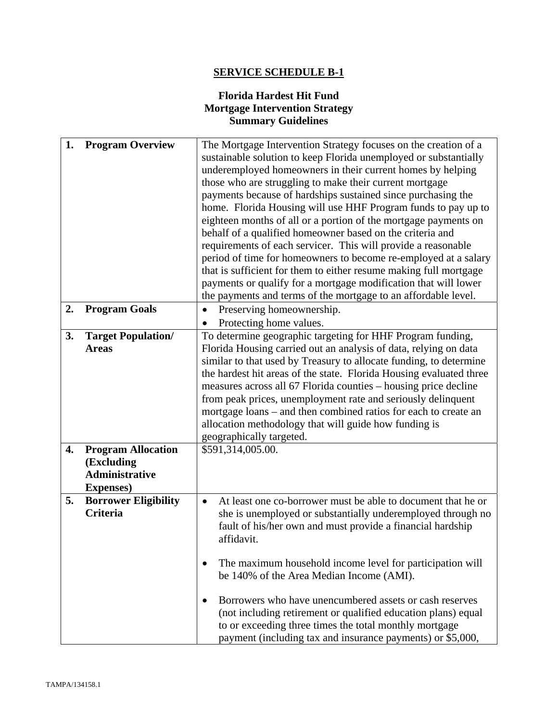# **SERVICE SCHEDULE B-1**

# **Florida Hardest Hit Fund Mortgage Intervention Strategy Summary Guidelines**

| 1. | <b>Program Overview</b>     | The Mortgage Intervention Strategy focuses on the creation of a           |  |
|----|-----------------------------|---------------------------------------------------------------------------|--|
|    |                             | sustainable solution to keep Florida unemployed or substantially          |  |
|    |                             | underemployed homeowners in their current homes by helping                |  |
|    |                             | those who are struggling to make their current mortgage                   |  |
|    |                             | payments because of hardships sustained since purchasing the              |  |
|    |                             | home. Florida Housing will use HHF Program funds to pay up to             |  |
|    |                             | eighteen months of all or a portion of the mortgage payments on           |  |
|    |                             | behalf of a qualified homeowner based on the criteria and                 |  |
|    |                             | requirements of each servicer. This will provide a reasonable             |  |
|    |                             | period of time for homeowners to become re-employed at a salary           |  |
|    |                             | that is sufficient for them to either resume making full mortgage         |  |
|    |                             | payments or qualify for a mortgage modification that will lower           |  |
|    |                             | the payments and terms of the mortgage to an affordable level.            |  |
| 2. | <b>Program Goals</b>        | Preserving homeownership.                                                 |  |
|    |                             | Protecting home values.                                                   |  |
| 3. | <b>Target Population/</b>   | To determine geographic targeting for HHF Program funding,                |  |
|    | <b>Areas</b>                | Florida Housing carried out an analysis of data, relying on data          |  |
|    |                             | similar to that used by Treasury to allocate funding, to determine        |  |
|    |                             | the hardest hit areas of the state. Florida Housing evaluated three       |  |
|    |                             | measures across all 67 Florida counties – housing price decline           |  |
|    |                             | from peak prices, unemployment rate and seriously delinquent              |  |
|    |                             | mortgage loans – and then combined ratios for each to create an           |  |
|    |                             | allocation methodology that will guide how funding is                     |  |
|    |                             | geographically targeted.                                                  |  |
| 4. | <b>Program Allocation</b>   | \$591,314,005.00.                                                         |  |
|    | (Excluding                  |                                                                           |  |
|    | <b>Administrative</b>       |                                                                           |  |
|    | <b>Expenses</b> )           |                                                                           |  |
| 5. | <b>Borrower Eligibility</b> | At least one co-borrower must be able to document that he or<br>$\bullet$ |  |
|    | <b>Criteria</b>             | she is unemployed or substantially underemployed through no               |  |
|    |                             | fault of his/her own and must provide a financial hardship                |  |
|    |                             | affidavit.                                                                |  |
|    |                             |                                                                           |  |
|    |                             | The maximum household income level for participation will                 |  |
|    |                             | be 140% of the Area Median Income (AMI).                                  |  |
|    |                             |                                                                           |  |
|    |                             | Borrowers who have unencumbered assets or cash reserves                   |  |
|    |                             | (not including retirement or qualified education plans) equal             |  |
|    |                             | to or exceeding three times the total monthly mortgage                    |  |
|    |                             | payment (including tax and insurance payments) or \$5,000,                |  |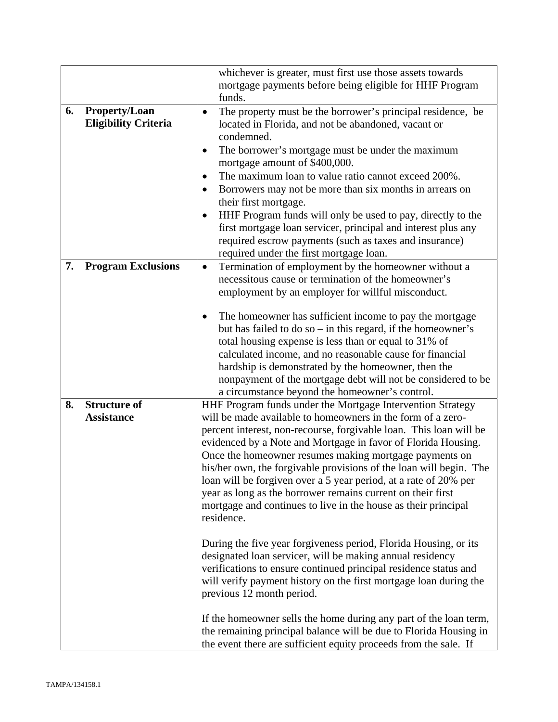|    |                                                     | whichever is greater, must first use those assets towards<br>mortgage payments before being eligible for HHF Program<br>funds.                                                                                                                                                                                                                                                                                                                                                                                                                                                                                                                                                                                                                                                                                                                                                                                                                                                                                                                                                                                                           |
|----|-----------------------------------------------------|------------------------------------------------------------------------------------------------------------------------------------------------------------------------------------------------------------------------------------------------------------------------------------------------------------------------------------------------------------------------------------------------------------------------------------------------------------------------------------------------------------------------------------------------------------------------------------------------------------------------------------------------------------------------------------------------------------------------------------------------------------------------------------------------------------------------------------------------------------------------------------------------------------------------------------------------------------------------------------------------------------------------------------------------------------------------------------------------------------------------------------------|
| 6. | <b>Property/Loan</b><br><b>Eligibility Criteria</b> | The property must be the borrower's principal residence, be<br>$\bullet$<br>located in Florida, and not be abandoned, vacant or<br>condemned.<br>The borrower's mortgage must be under the maximum<br>٠<br>mortgage amount of \$400,000.<br>The maximum loan to value ratio cannot exceed 200%.<br>Borrowers may not be more than six months in arrears on<br>their first mortgage.<br>HHF Program funds will only be used to pay, directly to the<br>first mortgage loan servicer, principal and interest plus any<br>required escrow payments (such as taxes and insurance)<br>required under the first mortgage loan.                                                                                                                                                                                                                                                                                                                                                                                                                                                                                                                 |
| 7. | <b>Program Exclusions</b>                           | Termination of employment by the homeowner without a<br>$\bullet$<br>necessitous cause or termination of the homeowner's<br>employment by an employer for willful misconduct.<br>The homeowner has sufficient income to pay the mortgage<br>but has failed to do so $-$ in this regard, if the homeowner's<br>total housing expense is less than or equal to 31% of<br>calculated income, and no reasonable cause for financial<br>hardship is demonstrated by the homeowner, then the<br>nonpayment of the mortgage debt will not be considered to be<br>a circumstance beyond the homeowner's control.                                                                                                                                                                                                                                                                                                                                                                                                                                                                                                                                 |
| 8. | <b>Structure of</b><br><b>Assistance</b>            | HHF Program funds under the Mortgage Intervention Strategy<br>will be made available to homeowners in the form of a zero-<br>percent interest, non-recourse, forgivable loan. This loan will be<br>evidenced by a Note and Mortgage in favor of Florida Housing.<br>Once the homeowner resumes making mortgage payments on<br>his/her own, the forgivable provisions of the loan will begin. The<br>loan will be forgiven over a 5 year period, at a rate of 20% per<br>year as long as the borrower remains current on their first<br>mortgage and continues to live in the house as their principal<br>residence.<br>During the five year forgiveness period, Florida Housing, or its<br>designated loan servicer, will be making annual residency<br>verifications to ensure continued principal residence status and<br>will verify payment history on the first mortgage loan during the<br>previous 12 month period.<br>If the homeowner sells the home during any part of the loan term,<br>the remaining principal balance will be due to Florida Housing in<br>the event there are sufficient equity proceeds from the sale. If |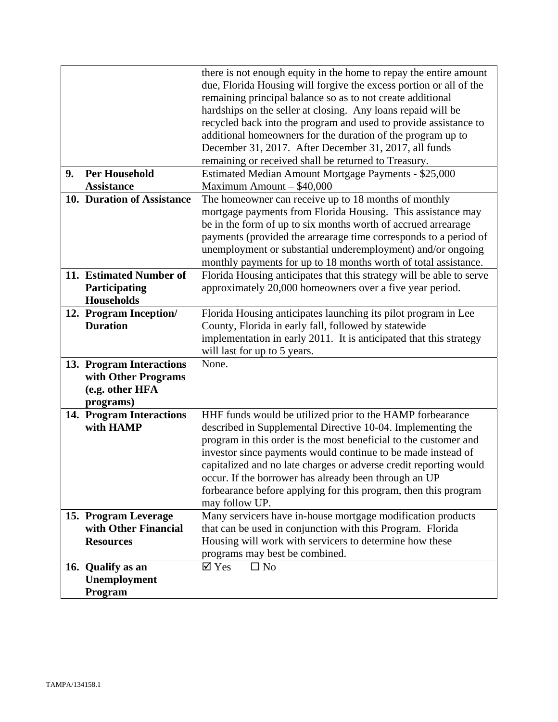|    |                                              | there is not enough equity in the home to repay the entire amount<br>due, Florida Housing will forgive the excess portion or all of the |
|----|----------------------------------------------|-----------------------------------------------------------------------------------------------------------------------------------------|
|    |                                              | remaining principal balance so as to not create additional                                                                              |
|    |                                              | hardships on the seller at closing. Any loans repaid will be                                                                            |
|    |                                              | recycled back into the program and used to provide assistance to                                                                        |
|    |                                              | additional homeowners for the duration of the program up to                                                                             |
|    |                                              | December 31, 2017. After December 31, 2017, all funds                                                                                   |
|    |                                              | remaining or received shall be returned to Treasury.                                                                                    |
| 9. | <b>Per Household</b>                         | Estimated Median Amount Mortgage Payments - \$25,000                                                                                    |
|    | <b>Assistance</b>                            | Maximum Amount $-$ \$40,000                                                                                                             |
|    | 10. Duration of Assistance                   | The homeowner can receive up to 18 months of monthly                                                                                    |
|    |                                              | mortgage payments from Florida Housing. This assistance may                                                                             |
|    |                                              | be in the form of up to six months worth of accrued arrearage                                                                           |
|    |                                              | payments (provided the arrearage time corresponds to a period of                                                                        |
|    |                                              | unemployment or substantial underemployment) and/or ongoing                                                                             |
|    | 11. Estimated Number of                      | monthly payments for up to 18 months worth of total assistance.<br>Florida Housing anticipates that this strategy will be able to serve |
|    | Participating                                | approximately 20,000 homeowners over a five year period.                                                                                |
|    | <b>Households</b>                            |                                                                                                                                         |
|    | 12. Program Inception/                       | Florida Housing anticipates launching its pilot program in Lee                                                                          |
|    | <b>Duration</b>                              | County, Florida in early fall, followed by statewide                                                                                    |
|    |                                              | implementation in early 2011. It is anticipated that this strategy                                                                      |
|    |                                              | will last for up to 5 years.                                                                                                            |
|    | 13. Program Interactions                     | None.                                                                                                                                   |
|    | with Other Programs                          |                                                                                                                                         |
|    | (e.g. other HFA                              |                                                                                                                                         |
|    | programs)                                    |                                                                                                                                         |
|    | 14. Program Interactions                     | HHF funds would be utilized prior to the HAMP forbearance                                                                               |
|    | with HAMP                                    | described in Supplemental Directive 10-04. Implementing the                                                                             |
|    |                                              | program in this order is the most beneficial to the customer and                                                                        |
|    |                                              | investor since payments would continue to be made instead of                                                                            |
|    |                                              | capitalized and no late charges or adverse credit reporting would                                                                       |
|    |                                              | occur. If the borrower has already been through an UP                                                                                   |
|    |                                              | forbearance before applying for this program, then this program                                                                         |
|    |                                              | may follow UP.                                                                                                                          |
|    | 15. Program Leverage<br>with Other Financial | Many servicers have in-house mortgage modification products<br>that can be used in conjunction with this Program. Florida               |
|    | <b>Resources</b>                             | Housing will work with servicers to determine how these                                                                                 |
|    |                                              | programs may best be combined.                                                                                                          |
|    | 16. Qualify as an                            | $\overline{\mathsf{Y}}$ Yes<br>$\square$ No                                                                                             |
|    | Unemployment                                 |                                                                                                                                         |
|    | Program                                      |                                                                                                                                         |
|    |                                              |                                                                                                                                         |